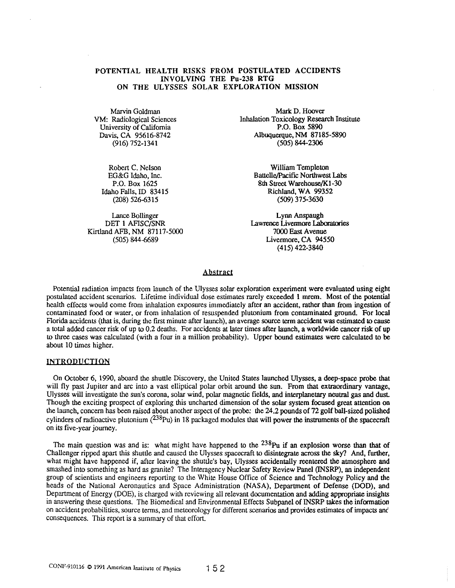# POTENTIAL HEALTH RISKS FROM POSTULATED ACCIDENTS INVOLVING THE Pu-238 RTG ON THE ULYSSES SOLAR EXPLORATION MISSION

Marvin Goldman VM: Radiological Sciences University of California Davis, CA 95616-8742 (916) 752-1341

Robert C. Nelson EG&G Idaho, Inc. P.O. Box 1625 Idaho Falls, ID 83415 (208) 526-6315

Lance Bollinger DET 1 AFISC/SNR Kirtland AFB, NM 87117-5000 (505) 844-6689

Mark D. Hoover Inhalation Toxicology Research Institute P.O. Box 5890 AJbuquerque,NM 87185-5890 (505) 844-2306

> William Templeton Battelle/Pacific Northwest Labs 8th Street Warehouse/Kl-30 Richland, WA 99352 (509) 375-3630

Lynn Anspaugh Lawrence Livennore Laboralories 7000 East Avenue Livermore, CA 94550 (415) 422-3840

## Abstract

Potential radiation impacts from launch of the Ulysses solar exploration experiment were evaluated using eight postulated accident scenarios. Lifetime individual dose estimates rarely exceeded 1 mrern. Most of the potential health effects would come from inhalation exposures immediately after an accident, rather than from ingestion of contaminated food or water, or from inhalation of resuspended plutonium from contaminated ground. For local Florida accidents (that is, during the first minute after launch), an average source term accident was estimated to cause a total added cancer risk of up to 0.2 deaths. For accidents at later times after launch, a worldwide cancer risk of up to three cases was calculated (with a four in a million probability). Upper bound estimates were calculated to be about 10 times higher.

#### **INTRODUCTION**

On October 6, 1990, aboard the shuttle Discovery, the United States launched Ulysses, a deep-space probe that will fly past Jupiter and arc into a vast elliptical polar orbit around the sun. From that extraordinary vantage, Ulysses will investigate the sun's corona, solar wind, polar magnetic fields, and interplanetary neutral gas and dust Though the exciting prospect of exploring this uncharted dimension of the solar system focused great attention on the launch, concern has been raised about another aspect of the probe: the 24.2 pounds of 72 golf ball-sized polished cylinders of radioactive plutonium  $(^{238}Pu)$  in 18 packaged modules that will power the instruments of the spacecraft on its five-year journey.

The main question was and is: what might have happened to the  $^{238}$ Pu if an explosion worse than that of Challenger ripped apart this shuttle and caused the Ulysses spacecraft to disintegrate across the sky? And, further, what might have happened if, after leaving the shuttle's bay, Ulysses accidentally reentered the atmosphere and smashed into something as hard as granite? The Interagency Nuclear Safety Review Panel (INSRP), an independent group of scientists and engineers reporting to the White House Office of Science and Technology Policy and the heads of the National Aeronautics and Space Administration (NASA), Department of Defense (DOD), and Department of Energy (DOE), is charged with reviewing all relevant documentation and adding appropriate insights in answering these questions. The Biomedical and Environmental Effects Subpanel of INSRP takes the information on accident probabilities, source terms, and meteorology for different scenarios and provides estimates of itnpacts *anc*  consequences. This report is a summary of that effort.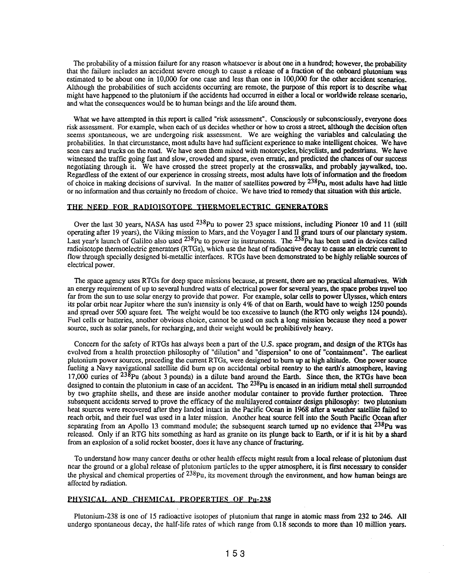The probability of a mission failure for any reason whatsoever is about one in a hundred; however, the probability that the failure includes an accident severe enough to cause a release of a fraction of the onboard plutonium was estimated to be about one in 10,000 for one case and less than one in 100,000 for the other accident scenarios. Although the probabilities of such accidents occurring are remote, the purpose of this report is to describe what might have happened to the plutonium if the accidents had occurred in either a local or worldwide release scenario, and what the consequences would be to human beings and the life around them.

What we have attempted in this report is called "risk assessment". Consciously or subconsciously, everyone does risk assessment. For example, when each of us decides whether or how to cross a street, although the decision often seems spontaneous, we are undergoing risk assessment. We are weighing the variables and calculating the probabilities. In that circumstance, most adults have had sufficient experience to make intelligent choices. We have seen cars and trucks on the road. We have seen them mixed with motorcycles, bicyclists, and pedestrians. We have witnessed the traffic going fast and slow, crowded and sparse, even erratic, and predicted the chances of our success negotiating through it. We have crossed the street properly at the crosswalks, and probably jaywalked, too. Regardless of the extent of our experience in crossing streets, most adults have lots of infonnation and the freedom of choice in making decisions of survival. In the matter of satellites powered by <sup>238</sup>Pu, most adults have had little or no information and thus certainly no freedom of choice. We have tried to remedy that situation with this article.

# THE NEED FOR RADIOISOTOPE THERMOELECTRIC GENERATORS

Over the last 30 years, NASA has used <sup>238</sup>Pu to power 23 space missions, including Pioneer 10 and 11 (still Over the last 30 years, NASA has used  $2^{20}$ Pu to power 23 space missions, including Pioneer 10 and 11 (still operating after 19 years), the Viking mission to Mars, and the Voyager I and II grand tours of our planetary s Last year's launch of Galileo also used <sup>238</sup>Pu to power its instruments. The <sup>238</sup>Pu has been used in devices called radioisotope thermoelectric generators (RIGs), which use the heat of radioactive decay to cause an electric current to flow through specially designed bi·metallic interfaces. RTGs have been demonstrated to be highly reliable sources of electrical power.

The space agency uses RTGs for deep space missions because, at present, there are no practical alternatives. With an energy requirement of up to several hundred watts of electrical power for several years, the space probes travel too far from the sun to use solar energy to provide that power. For example, solar cells to power Ulysses, which enters its polar orbit near Jupiter where the sun's intensity is only 4% of that on Earth, would have to weigh 1250 pounds and spread over 500 square feet. The weight would be too excessive to launch (the RTG only weighs 124 pounds). Fuel cells or batteries, another obvious choice, cannot be used on such a long mission because they need a power source, such as solar panels, for recharging, and their weight would be prohibitively heavy.

Concern for the safety of RTGs has always been a part of the U.S. space program, and design of the RIGs has evolved from a health protection philosophy of "dilution" and "dispersion" to one of "containment". The earliest plutonium power sources, preceding the current RIGs, were designed to burn up at high altitude. One power source fueling a Navy navigational satellite did burn up on accidental orbital reentry to the earth's atmosphere, leaving 17,000 curies of  $^{238}$ Pu (about 3 pounds) in a dilute band around the Earth. Since then, the RTGs have been designed to contain the plutonium in case of an accident. The <sup>238</sup>Pu is encased in an iridium metal shell surrounded by two graphite shells, and these are inside another modular container to provide further protection. Three subsequent accidents served to prove the efficacy of the multilayered container design philosophy: two plutonium heat sources were recovered after they landed intact in the Pacific Ocean in 1968 after a weather satellite failed to reach orbit, and their fuel was used in a later mission. Another heat source fell into the South Pacific Ocean after separating from an Apollo 13 command module; the subsequent search turned up no evidence that <sup>238</sup>Pu was released. Only if an RTG hits something as hard as granite on its plunge back to Earth, or if it is hit by a shard from an explosion of a solid rocket booster, does it have any chance of fracturing.

To understand how many cancer deaths or other health effects might result from a local release of plutonium dust near the ground or a global release of plutonium particles to the upper atmosphere, it is first necessary to consider the physical and chemical properties of  $^{238}$ Pu, its movement through the environment, and how human beings are affected by radiation.

# PHYSICAL AND CHEMICAL PROPERTIES OF Pu-238

Plutonium·238 is one of 15 radioactive isotopes of plutonium that range in atomic mass from 232 to 246. All undergo spontaneous decay, the half·life rates of which range from 0.18 seconds to more than 10 million years.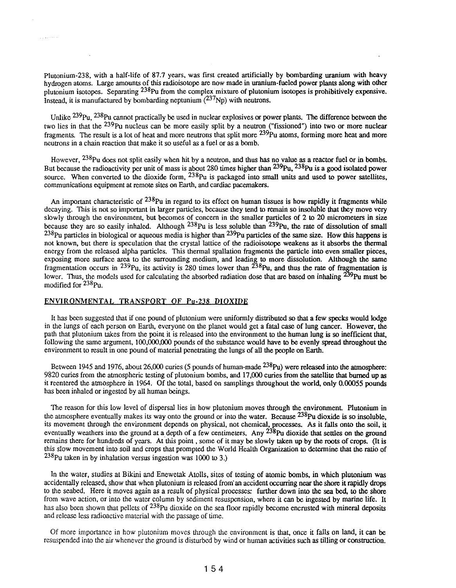Plutonium-238, with a half-life of 87.7 years, was first created artificially by bombarding uranium with heavy hydrogen atoms. Large amounts of this radioisotope are now made in uranium-fueled power plants along with other plutonium isotopes. Separating 238Pu from the complex mixture of plutonium isotopes is prohibitively expensive. Instead, it is manufactured by bombarding neptunium  $(^{237}Np)$  with neutrons.

Unlike <sup>239</sup>Pu, <sup>238</sup>Pu cannot practically be used in nuclear explosives or power plants. The difference between the two lies in that the 239Pu nucleus can be more easily split by a neutron ("fissioned") into two or more nuclear fragments. The result is a lot of heat and more neutrons that split more  $^{239}$ Pu atoms, forming more heat and more neutrons in a chain reaction that make it so useful as a fuel or as a bomb.

However, <sup>258</sup>Pu does not split easily when hit by a neutron, and thus has no value as a reactor fuel or in bombs. But because the radioactivity per unit of mass is about 280 times higher than <sup>239</sup>Pu, <sup>238</sup>Pu is a good isolated power source. When converted to the dioxide form,  $^{238}$ Pu is packaged into small units and used to power satellites, communications equipment at remote sites on Earth, and cardiac pacemakers.

An important characteristic of  $^{238}$ Pu in regard to its effect on human tissues is how rapidly it fragments while decaying. This is not so important in larger particles, because they tend to remain so insoluble that they move very slowly through the environment, but becomes of concern in the smaller particles of 2 to 20 micrometers in size because they are so easily inhaled. Although  $^{238}$ Pu is less soluble than  $^{239}$ Pu, the rate of dissolution of small  $^{238}$ Pu particles in biological or aqueous media is higher than  $^{239}$ Pu particles of the same size. How this happens is not known, but there is speculation that the crystal lattice of the radioisotope weakens as it absorbs the thermal energy from the released alpha particles. This thermal spallation fragments the particle into even smaller pieces, exposing more surface area to the surrounding medium, and leading to more dissolution. Although the same fragmentation occurs in <sup>239</sup>Pu, its activity is 280 times lower than <sup>238</sup>Pu, and thus the rate of fragmentation is lower. Thus, the models used for calculating the absorbed radiation dose that are based on inhaling <sup>259</sup>Pu must be modified for 238Pu.

#### ENVIRONMENTAL TRANSPORT OF Pu-238 DIOXIDE

It has been suggested that if one pound of plutonium were uniformly distributed so that a few specks would lodge in the lungs of each person on Earth, everyone on the planet would get a fatal case of lung cancer. However, the path that plutonium takes from the point it is released into the environment to the human lung is so inefficient that, following the same argument, 100,000,000 pounds of the substance would have to be evenly spread throughout the environment to result in one pound of material penetrating the lungs of all the people on Earth.

Between 1945 and 1976, about 26,000 curies (5 pounds of human-made <sup>238</sup>Pu) were released into the atmosphere: 9820 curies from the atmospheric testing of plutonium bombs, and 17,000 curies from the satellite that burned up as it reentered the atmosphere in 1964. Of the total, based on samplings throughout the world, only 0.00055 pounds has been inhaled or ingested by all human beings.

The reason for this low level of dispersal lies in how plutonium moves through the environment. Plutonium in the atmosphere eventually makes its way onto the ground or into the water. Because <sup>238</sup>Pu dioxide is so insoluble, its movement through the environment depends on physical, not chemical, processes. As it falls onto the soil, it eventually weathers into the ground at a depth of a few centimeters. Any <sup>238</sup>Pu dioxide that settles on the ground remains there for hundreds of years. At this point, some of it may be slowly taken up by the roots of crops. (It is this slow movement into soil and crops that prompted the World Health Organization to determine that the ratio of  $238$ Pu taken in by inhalation versus ingestion was 1000 to 3.)

In the water, studies at Bikini and Enewetak Atolls, sites of testing of atomic bombs, in which plutonium was accidentally released, show that when plutonium is released from' an accident occurring near the shore it rapidly drops to the seabed. Here it moves again as a result of physical processes: further down into the sea bed, to the shore from wave action, or into the water column by sediment resuspension, where it can be ingested by marine life. It has also been shown that pellets of <sup>238</sup>Pu dioxide on the sea floor rapidly become encrusted with mineral deposits and release less radioactive material with the passage of time.

Of more importance in how plutonium moves through the environment is that, once it falls on land, it can be resuspended into the air whenever the ground is disturbed by wind or human activities such as tilling or construction.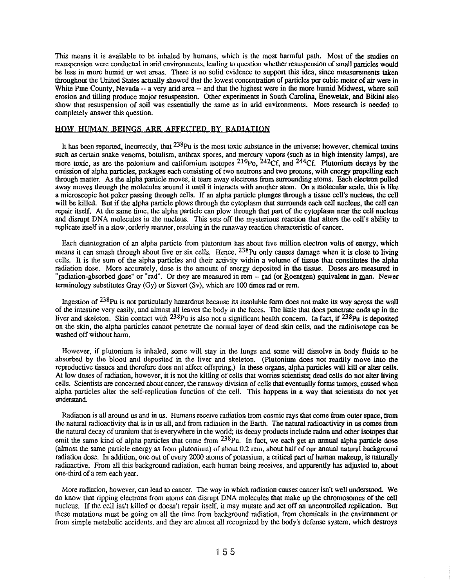This means it is available to be inhaled by humans, which is the most harmful path. Most of the studies on resuspension were conducted in arid environments, leading to question wbether resuspension of small particles would be less in more humid or wet areas. There is no solid evidence to support this idea, since measurements taken throughout the United States actually showed that the lowest concentration of particles per cubic meter of air were in White Pine County, Nevada -- a very arid area -- and that the highest were in the more humid Midwest, where soil erosion and tilling produce major resuspension. Other experiments in South Carolina, Enewetak, and Bikini also show that resuspension of soil was essentially the same as in arid environments. More research is needed to completely answer this question.

# **HOW** HUMAN BEINGS ARE AFFECTED **BY** RADIATION

It has been reported, incorrectly, that  $^{238}$ Pu is the most toxic substance in the universe; however, chemical toxins such as certain snake venoms, botulism, anthrax spores, and mercury vapors (such as in high intensity lamps), are more toxic, as are the polonium and californium isotopes  $^{210}P_0$ ,  $^{242}Cf$ , and  $^{244}Cf$ . Plutonium decays by the emission of alpha particles, packages each consisting of two neutrons and two protons, with energy propelling each through matter. As the alpha particle moves, it tears away electrons from surrounding atoms\_ Each electron pulled away moves through the molecules around it until it interacts with another atom. On a molecular scale, this is like a microscopic hot poker passing through cells. If an alpha particle plunges through a tissue cell's nucleus, the cell will be killed. But if the alpha particle plows through the cytoplasm that surrounds each cell nucleus, the cell can repair itself. At the same time, the alpha particle can plow through that part of the cytoplasm near the cell nucleus and disrupt DNA molecules in the nucleus. This sets off the mysterious reaction that alters the cell's ability to replicate itself in a slow, orderly manner, resulting in the runaway reaction characteristic of cancer.

Each disintegration of an alpha particle from plutonium has about five million electron volts of energy, which means it can smash through about five or six cells. Hence, <sup>238</sup>Pu only causes damage when it is close to living cells. It is the sum of the alpha particles and their activity within a volume of tissue that constitutes the alpha radiation dose. More accurately, dose is the amount of energy deposited in the tissue. Doses are measured in "radiation-absorbed dose" or "rad". Or they are measured in rem -- rad (or Roentgen) equivalent in man. Newer terminology substitutes Gray  $(Gy)$  or Sievert  $(Sy)$ , which are 100 times rad or rem.

Ingestion of <sup>238</sup>Pu is not particularly hazardous because its insoluble form does not make its way across the wall of the intestine very easily, and almost all leaves the body in the feces. The little that does penetrate ends up in the liver and skeleton. Skin contact with <sup>238</sup>Pu is also not a significant health concern. In fact, if <sup>238</sup>Pu is deposited on the skin, the alpha particles cannot penetrate the nonnal layer of dead skin cells, and the radioisotope can be washed off without harm.

However, if plutonium is inhaled, some will stay in the lungs and some will dissolve in body fluids to be absorbed by the blood and deposited in the liver and skeleton. (plutonium does not readily move into the reproductive tissues and therefore does not affect offspring.) In these organs, alpha particles will kill or alter cells. At low doses of radiation, however, it is not the killing of cells that worries scientists; dead cells do not alter living cells. Scientists are concerned about cancer, the runaway division of cells that eventually fonns tumors, caused when alpha particles alter the self-replication function of the cell. This happens in a way that scientists do not yet understand.

Radiation is all around us and in us. Humans receive radiation from cosmic rays that come from outer space, from the natural radioactivity that is in us all, and from radiation in the Earth. The natural radioactivity in us comes from the natural decay of uranium that is everywhere in the world; its decay products include radon and other isotopes that emit the same kind of alpha particles that come from  $238p_u$ . In fact, we each get an annual alpha particle dose (almost the same particle energy as from plutonium) of about 0.2 rem, about half of our annual natural background radiation dose. In addition, one out of every 2000 atoms of potassium, a critical part of human makeup, is naturally radioactive. From all this background radiation, each human being receives, and apparently has adjusted to, about one-third of a rem each year.

More radiation, however, can lead to cancer. The way in which radiation causes cancer isn't well understood. We do know that ripping electrons from atoms can disrupt DNA molecules that make up the chromosomes of the cell nucleus. If the cell isn't killed or doesn't repair itself, it may mutate and set off an uncontrolled replication. But these mutations must be going on all the time from background radiation, from chemicals in the environment or from simple metabolic accidents, and they are almost all recognized by the body's defense system, which destroys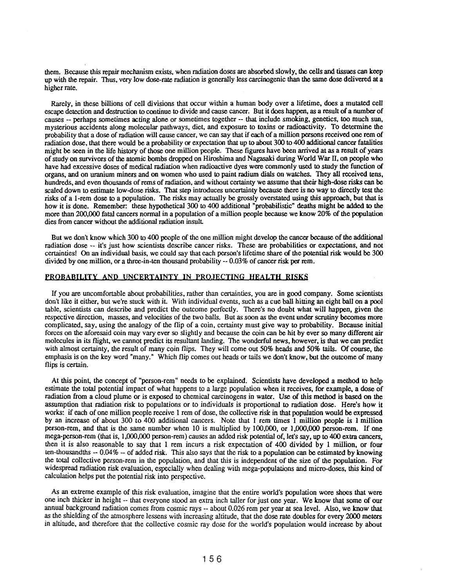them. Because this repair mechanism exists, when radiation doses are absorbed slowly, the cells and tissues can keep up with the repair. Thus, very low dose-rate radiation is generally less carcinogenic than the same dose delivered at a higher rate.

Rarely, in these billions of cell divisions that occur within a human body over a lifetime, does a mutated cell escape detection and destruction to continue to divide and cause cancer. But it does happen, as a result of a number of causes -- perhaps sometimes acting alone or sometimes together -- that include smoking, genetics, too much sun, mysterious accidents along molecular pathways, diet, and exposure to toxins or radioactivity. To determine the probability that a dose of radiation will cause cancer, we can say that if each of a million persons received one rem of radiation dose, that there would be a probability or expectation that up to about 300 to 400 additional cancer fatalities might be seen in the life history of those one million people. These figures have been arrived at as a result of years of study on survivors of the atomic bombs dropped on Hiroshima and Nagasaki during World War II, on people who have had excessive doses of medical radiation when radioactive dyes were commonly used to study the function of organs, and on uranium miners and on women who used to paint radium dials on watches. They all received tens, hundreds, and even thousands of rems of radiation, and without certainty we assume that their high-dose risks can be scaled down to estimate low-dose risks. That step introduces uncertainty because there is no way to directly test the risks of a I-rem dose to a population. The risks may actually be grossly overstated using this approach, but that is how it is done. Remember: these hypothetical 300 to 400 additional "probabilistic" deaths might be added to the more than 200,000 fatal cancers normal in a population of a million people because we know 20% of the population dies from cancer without the additional radiation insult

But we don't know which 300 to 400 people of the one million might develop the cancer because of the additional radiation dose -- it's just how scientists describe cancer risks. These are probabilities or expectations, and not certainties! On an individual basis, we could say that each person's lifetime share of the potential risk would be 300 divided by one million, or a three-in-ten thousand probability -- 0.03% of cancer risk per rem.

#### PROBABILITY AND UNCERTAINTY IN PROJECTING HEALTH RISKS

If you are uncomfortable about probabilities, rather than certainties, you are in good company. Some scientists don't like it either, but we're stuck with it. With individual events, such as a cue ball hitting an eight ball on a pool table, scientists can describe and predict the outcome perfectly. There's no doubt what will happen, given the respective direction, masses, and velocities of the two balls. But as soon as the event under scrutiny becomes more complicated, say, using the analogy of the flip of a coin, certainty must give way to probability. Because initial forces on the aforesaid coin may vary ever so slightly and because the coin can be hit by ever so many different air molecules in its flight, we cannot predict its resultant landing. The wonderful news, however, is that we can predict with almost certainty, the result of many coin flips. They will come out 50% heads and 50% tails. Of course, the emphasis is on the key word "many." Which flip comes out heads or tails we don't know, but the outcome of many flips is certain.

At this point, the concept of "person-rem" needs to be explained. Scientists have developed a method to help estimate the total potential impact of what happens to a large population when it receives, for example, a dose of radiation from a cloud plume or is exposed to chemical carcinogens in water. Use of this method is based on the assumption that radiation risk to populations or to individuals is proportional to radiation dose. Here's how it works: if each of one million people receive 1 rem of dose, the collective risk in that population would be expressed by an increase of about 300 to 400 additional cancers. Note that 1 rem times 1 million people is 1 million person-rem, and that is the same number when 10 is multiplied by 100,000, or 1,000,000 person-rem. If one mega-person-rem (that is, 1,000,000 person-rem) causes an added risk potential of, let's say, up to 400 extra cancers, then it is also reasonable to say that I rem incurs a risk expectation of 400 divided by 1 million, or four ten-thousandths -- 0.04% -- of added risk. This also says that the risk to a population can be estimated by knowing the total collective person-rem in the population, and that this is independent of the size of the population. For widespread radiation risk evaluation, especially when dealing with mega-populations and micro-doses, this kind of calculation helps put the potential risk into perspective.

As an extreme example of this risk evaluation, imagine that the entire world's population wore shoes that were one inch thicker in height -- that everyone stood an extra inch taller for just one year. We know that some of our annual background radiation comes from cosmic rays -- about 0.026 rem per year at sea level. Also, we know that as the shielding of the atmosphere lessens with increasing altitude, that the dose rate doubles for every 2000 meters in altitude, and therefore that the collective cosmic ray dose for the world's population would increase by about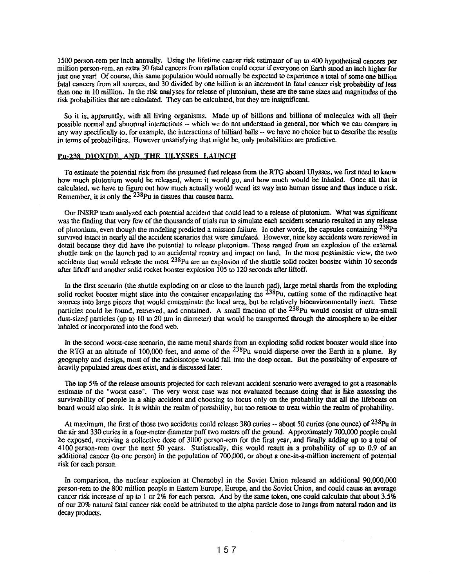1500 person-rem per inch annually. Using the lifetime cancer risk estimator of up to 400 hypothetical cancers per million person-rem, an extra 30 fatal cancers from radiation could occur if everyone on Earth stood an inch higher for just one year! Of course, this same popolation would normally be expected to experience a total of some one billion fatal cancers from all sources, and 30 divided by one billion is an increment in fatal cancer risk probability of less than one in 10 million. In the risk analyses for release of plutonium, these are the same sizes and magnitudes of the risk probabilities that are calculated. They can be calculated, but they are insignificant.

So it is, apparently, with all living organisms. Made up of billions and billions of molecules with all their possible normal and abnormal interactions -- which we do not understand in general, nor which we can compate in any way specifically to, for example, the interactions of billiard balls -- we have no choice but to describe the results in terms of probabilities. However unsatisfying that might be, only probabilities are predictive.

## Pu-238 DIOXIDE AND THE ULYSSES LAUNCH

To estimate the potential risk from the presumed fuel release from the RTG aboard Ulysses, we first need to know how much plutonium would be released, where it would go, and how much would be inhaled. Once all that is calculated, we have to figure out how much actually would weud its way into human tissue and thus induce a risk. Remember, it is only the  $238$ Pu in tissues that causes harm.

Our INSRP team analyzed each potential accident that could lead to a release of plutonium. What was significant was the fmding that very few of the thousands of trials run to simulate each accident scenario resulted in any release of plutonium, even though the modeling predicted a mission failure. In other words, the capsules containing 238Pu survived intact in nearly all the accident scenarios that were simulated. However, nine key accidents were reviewed in detail because they *did* have the potential to release plutonium. These ranged from an explosion of the external shuttle tank on the launch pad to an accidental reentry and impact on land. In the most pessimistic view, the two accidents that would release the most 238Pu are an explosion of the shuttle solid rocket booster within 10 seconds after liftoff and another solid rocket booster explosion 105 to 120 seconds after liftoff.

In the first scenario (the shuttle exploding on or close to the launch pad), large metal shards from the exploding solid rocket booster might slice into the container encapsulating the  $238$ Pu, cutting some of the radioactive heat sources into large pieces that would contaminate the local area, but be relatively bioenvironmentally inert. These particles could be found, retrieved, and contained. A small fraction of the <sup>238</sup>Pu would consist of ultra-small dust-sized particles (up to 10 to 20 µm in diameter) that would be transported through the atmosphere to be either inhaled or incorporated into the food web.

In the second worst-case scenario, the same metal shards from an exploding solid rocket booster would slice into the RTG at an altitude of 100,000 feet, and some of the  $^{238}$ Pu would disperse over the Earth in a plume. By geography and design, most of the radioisotope would fall into the deep ocean. But the possibility of exposure of heavily populated areas does exist, and is discussed later.

The top 5% of the release amounts projected for each relevant accident scenario were averaged to get a reasonable estimate of the "worst case". The very worst case was not evaluated because doing that is like assessing the survivability of people in a ship accident and choosing to focus only on the probability that all the lifeboats on board would also sink. It is within the realm of possibility, but too remote to treat within the realm of probability.

At maximum, the first of those two accidents could release  $380$  curies  $-$  about 50 curies (one ounce) of  $238$ Pu in the air and 330 curies in a four-meter diameter puff two meters off the ground. Approximately 700,000 people could be exposed, receiving a collective dose of 3000 person-rem for the first year, and finally adding up to a total of 4100 person-rem over the next 50 years. Statistically, this would result in a probability of up to 0.9 of an additional cancer (to one person) in the population of 700,000, or about a one-in-a-million increment of potential risk for each person.

In comparison, the nuclear explosion at Chernobyl in the Soviet Union released an additional 90,000,000 person-rem to the 800 million people in Eastern Europe, Europe, and the Soviet Union, and could cause an average cancer risk increase of up to 1 or 2% for each person. And by the same token, one could calculate that about 3.5% of our 20% natural fatal cancer risk could be attributed to the alpha particle dose to lungs from natural radon and its decay products.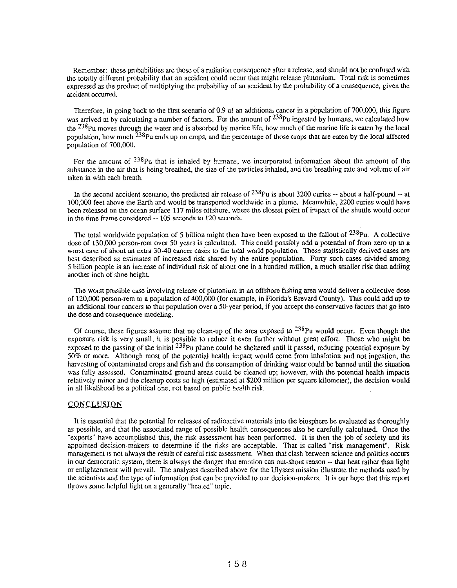Remember: these probabilities are those of a radiation consequence after a release, and should not be confused with the totally different probability that an accident could occur that might release plutonium. Total risk is sometimes expressed as the product of multiplying the probability of an accident by the probability of a consequence, given the accident occurred.

Therefore. in going back to the first scenario of 0.9 of an additional cancer in a population of 700.000. this figure was arrived at by calculating a number of factors. For the amount of <sup>238</sup>Pu ingested by humans, we calculated how the  $^{238}$ Pu moves through the water and is absorbed by marine life, how much of the marine life is eaten by the local population, how much  $238$ Pu ends up on crops, and the percentage of those crops that are eaten by the local affected population of 700.000.

For the amount of <sup>238</sup>Pu that is inhaled by humans, we incorporated information about the amount of the substance in the air that is being breathed. the size of the particles inhaled. and the breathing rate and volume of air taken in with each breath.

In the second accident scenario, the predicted air release of  $^{238}$ Pu is about 3200 curies -- about a half-pound -- at 100.000 feet above the Earth and would be transported worldwide in a plume. Meanwhile. 2200 curies would bave been released on the ocean surface 117 miles offshore. where the closest point of impact of the shuttle would occur in the time frame considered -- 105 seconds to 120 seconds.

The total worldwide population of 5 billion might then have been exposed to the fallout of  $238p_u$ . A collective dose of 130,000 person-rem over 50 years is calculated. This could possibly add a potential of from zero up to a worst case of about an extra 30-40 cancer cases to the total world population. These statistically derived cases are best described as estimates of increased risk shared by the entire population. Forty such cases divided among 5 billion people is an increase of individual risk of about one in a hundred million. a much smaller risk than adding another inch of shoe heighL

The worst possible case involving release of plutonium in an offshore fishing area would deliver a collective dose of 120.000 person-rem to a population of 400.000 (for example. in Florida's Brevard County). This could add up to an additional four cancers to that population over a 50-year period. if you accept the ronservative factors that go into the dose and consequence modeling.

Of course, these figures assume that no clean-up of the area exposed to  $^{238}$ Pu would occur. Even though the exposure risk is very small. it is possible to reduce it even further without great effort. Those who might be exposed to the passing of the initial <sup>238</sup>Pu plume could be sheltered until it passed, reducing potential exposure by 50% or more. Although most of the potential health impact would rome from inhalation and not ingestion. the harvesting of contaminated crops and fish and the consumption of drinking water could be banned until the situation was fully assessed. Contaminated ground areas could be cleaned up; however. with the potential health impacts relatively minor and the cleanup costs so high (estimated at \$200 million per square kilometer), the decision would in all likelihood be a political one. not based on public health risk.

## CONCLUSION

It is essential that the potential for releases of radioactive materials into the biosphere be evaluated as thoroughly as possible. and that the associated range of possible health consequences also be carefully calculated. Once the "experts" bave accomplished this. the risk assessment has been performed. It is then the job of society and its appointed decision-makers to determine if the risks are acceptable. That is called "risk management". Risk management is not always the result of careful risk assessment. When that clash between science and politics occurs in our democratic system. there is always the danger that emotion can out-shout reason -- that heat rather than light or enlightenment will prevail. The analyses described above for the Ulysses mission illustrate the methorls used by the scientists and the type of information that can be provided to our decision-makers. It is our hope that this report throws some helpful light on a generally "heated" topic.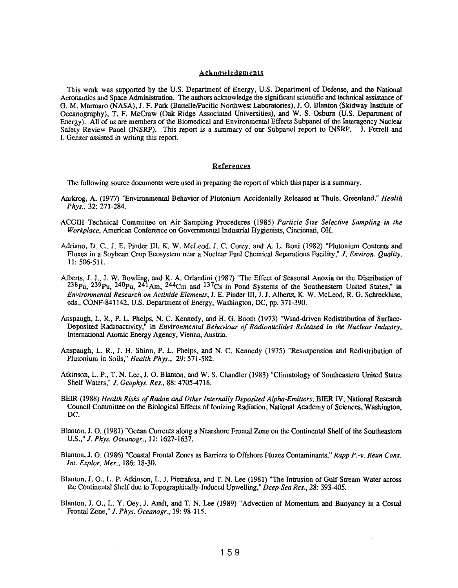## Acknowledgments

This work was supported by the U.S. Department of Energy, U.S. Department of Defense, and the National Aeronautics and Space Administration. The authors acknowledge the significant scientific and technical assistance of G. M. Marmaro (NASA), J. F. Park (Battelle/Pacific Northwest Laboratories), J. O. Blanton (Skidway Institute of Oceanography), T. F. McCraw (Oak Ridge Associated Universities), and W. S. Osburn (U.S. Department of Energy). All of us are members of the Biomedical and Environmental Effects Subpanel of the Interagency Nuclear Safety Review Panel (INSRP). This report is a summary of our Subpanel report to INSRP. J. Ferrell and 1. Genzer assisted in writing this report.

## **References**

The following source documents were used in preparing the report of which this paper is a summary.

- Aarkrog, A. (1977) "Environmental Behavior of Plutonium Accidentally Released at Thule, Greenland," *Health Phys.,* 32: 271-284.
- ACGIH Technical Committee on Air Sampling Procedures (1985) *Particle Size Selective Sampling in the Workplace,* American Conference on Governmental Industrial Hygienists, Cincinnati, OH.
- Adriano, D. c., J. E. Pinder III, K. W. McLeod, J. C. Corey, and A. L. Boni (1982) "Plutonium Contents and Fluxes in a Soybean Crop Ecosystem near a Nuclear Fuel Chemical Separations Facility," 1. *Environ. Quality,*  11: 506-511.
- Alberts, J. J., J. W. Bowling, and K. A. Orlandini (1987) "The Effect of Seasonal Anoxia on the Distribution of 238Pu, 239Pu, 240Pu, 241Arn, 244Cm and *137Cs* in Pond Systems of the Southeastern United States," in *Environmental Research on Actinide Elements,* J. E. Pinder III, J. J. Alberts, K. W. McLeod, R. G. Schreckhise, eds., CONF-841142, U.S. Department of Energy, Washington, DC, pp. 371-390.
- Anspaugh, L. R., P. L. Phelps, N. C. Kennedy, and H. G. Booth (1973) "Wind-driven Redistribution of Surface-Deposited Radioactivity," in *Environmental Behaviour of Radionuclides Released in the Nuclear Industry,*  International Atomic Energy Agency, Vienna, Austria.
- Anspaugh, L. R., J. H. Shinn, P. L. Phelps, and N. C. Kennedy (1975) "Resuspension and Redistribution of Plutonium in Soils," *Health Phys.,* 29: 571-582.
- Atkinson, L. P., T. N. Lee, J. O. Blanton, and W. S. Chandler (1983) "Climatology of Southeastern United States Shelf Waters," 1. *Geophys. Res.,* 88: 4705-4718.
- BEIR (1988) *Health Risks of Radon and Other Internally Deposited Alpha-Emitters,* BIER IV, National Research Council Committee on the Biological Effects of Ionizing Radiation, National Academy of Sciences, Washington, DC.
- Blanton, J. O. (1981) "Ocean Currents along a Nearshore Frontal Zone on the Continental Shelf of the Southeastern U.S.," 1. *Phys. Oceanogr.,* 11: 1627-1637.
- Blanton, J. O. (1986) "Coastal Frontal Zones as Barriers to Offshore Fluxes Contaminants," *Rapp P.-v. Reun Cons. Int. Explor. Mer.,* 186: 18-30.
- Blanton, J. 0., L. P. Atkinson, L. J. Pietrafesa, and T. N. Lee (1981) "The Intrusion of Gulf Stream Water across the Continental Shelf due to Topographically-Induced Upwelling," *Deep-Sea Res.,* 28: 393-405.
- Blanton, J. 0., L. Y. Ocy, J. Arnft, and T. N. Lee (1989) "Advection of Momentum and Buoyancy in a Costal Frontal Zone," 1. *Phys. Oceanogr.,* 19: 98-115.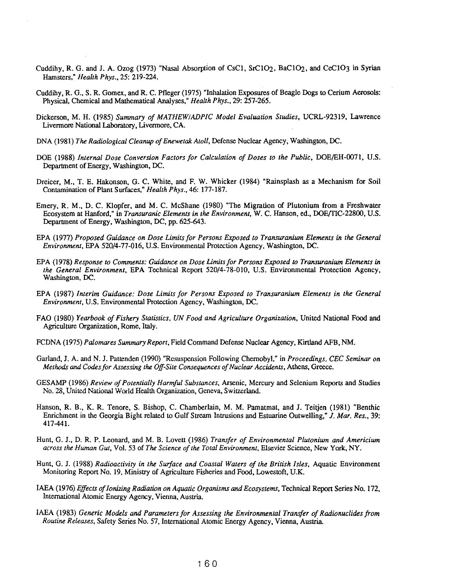- Cuddihy. R. G. and J. A. Ozog (1973) "Nasal Absorption of CsCI. SrCI02. BaCI02. and CeClO3 in Syrian Hamsters," *Health Phys .•* 25: 219-224.
- Cuddihy. R. G., S. R. Gomex. and R. C. Pfleger (1975) "Inhalation Exposures of Beagle Dogs to Cerium Aerosols: Physical. Chemical and Mathematical Analyses." *Health Phys .•* 29: 257-265.
- Dickerson. M. H. (1985) *Summary of MATHEW/ADPlC Model Evaluation Studies.* UCRL-92319. Lawrence Livennore National Laboratory. Livennore. CA.
- DNA (1981) *The Radiological Cleanup of Enewetak Atoll.* Defense Nuclear Agency. Washington. DC.
- DOE (1988) *Internal Dose Conversion Factors for Calculation of Doses to the Public*, DOE/EH-0071, U.S. Department of Energy. Washington. DC.
- Dreicer, M., T. E. Hakonson, G. C. White, and F. W. Whicker (1984) "Rainsplash as a Mechanism for Soil Contamination of Plant Surfaces," *Health Phys .•* 46: 177-187.
- Emery, R. M., D. C. Klopfer, and M. C. McShane (1980) "The Migration of Plutonium from a Freshwater Ecosystem at Hanford." in *Transuranic Elements in the Environment*, W. C. Hanson, ed., DOE/TIC-22800, U.S. Department of Energy. Washington. DC. pp. 625-643.
- EPA (1977) *Proposed Guidance on Dose Limitsfor Persons Exposed to Transuranium Elements in the General Environment.* EPA 520/4-77-016. U.S. Environmental Protection Agency. Washington. DC.
- EPA (1978) *Response to Comments: Guidance on Dose Limits for Persons Exposed to Transuranium Elements in the General Environment.* EPA Technical Report 520/4-78-010. U.S. Environmental Protection Agency. Washington. DC.
- EPA (1987) *Interim Guidance: Dose Limits for Persons Exposed to Transuranium Elements in the General Environment.* U.S. Environmental Protection Agency. Washington. DC.
- FAO (1980) *Yearbook of Fishery Statistics. UN Food and Agriculture Organization.* United National Food and Agriculture Organization. Rome. Italy.
- FCDNA (1975) *Palomares Summary Report.* Field Command Defense Nuclear Agency. Kirtland AFB. NM.
- Garland. J. A. and N. J. PaUenden (1990) "Resuspension Following Chernobyl," in *Proceedjngs. CEC Seminar on Methods and Codes for Assessing the Off-Site Consequences of Nuclear Accidents.* Athens. Greece.
- GESAMP (1986) *Review of Potentially Harmful Substances.* Arsenic. Mercury and Selenium Reports and Studies No. 28. United National World Health Organization. Geneva. Switzerland.
- Hanson, R. B., K. R. Tenore, S. Bishop, C. Chamberlain, M. M. Pamatmat, and J. Teitjen (1981) "Benthic Enrichment in the Georgia Bight related to Gulf Stream Intrusions and Estuarine Outwelling," J. *Mar. Res.*, 39: 417-441.
- Hunt, G. J., D. R. P. Leonard, and M. B. Lovett (1986) *Transfer of Environmental Plutonium and Americium across the Human Gut.* Vol. 53 of *The Science of the Total Environment.* Elsevier Science. New York. NY.
- Hunt. G. J. (1988) *Radioactivity in the Surface and Coastal Waters of the British Isles.* Aquatic Environment Monitoring Report No. 19. Ministry of Agriculture Fisheries and Food. Lowestoft. U.K.
- IAEA (1976) *Effects of Ionizing Radjation on Aquatic Organisms and Ecosystems.* Technical Report Series No. 172. International Atomic Energy Agency. Vienna. Austria.
- lAEA (1983) *Generic Models and Parameters for Assessing the Environmental Transfer of Radionuclides from Routine Releases.* Safety Series No. 57. International Atomic Energy Agency. Vienna. Austria.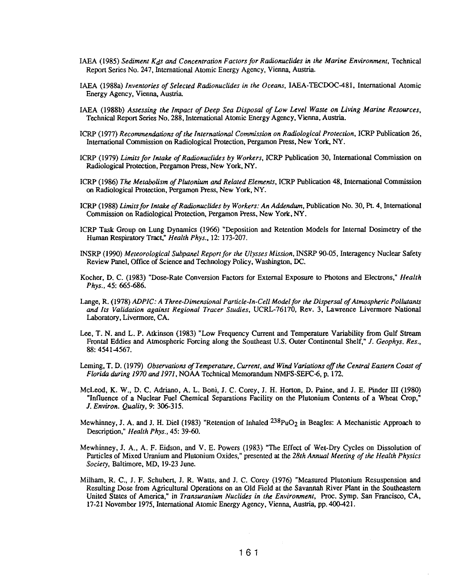- IAEA (1985) *Sediment Kds and Concentration Factors for Radionuclides* in *the Marine Environment,* Technical Report Series No. 247, International Atomic Energy Agency, Vienna, Austria.
- IAEA (1988a) *Inventories of Selected Radionuclides* in *the Oceans,* IAEA-TECDOC-48I, International Atomic Energy Agency, Vienna, Austria
- IAEA (l988b) *Assessing the Impact of Deep Sea Disposal of Low Level Waste on Living Marine Resources,*  Technical Report Series No. 288, International Atomic Energy Agency, Vienna, Austria.
- ICRP (1977) *Recommendations of the International Commission on Radiological Protection,* ICRP Publication 26, International Commission on Radiological Protection, Pergamon Press, New York, NY.
- ICRP (1979) *Limits for Intake of Radionuclides by Workers,* ICRP Publication 30, International Commission on Radiological Protection, Pergamon Press, New York, NY.
- ICRP (1986) *The Metabolism of Plutonium and Related Elements,* ICRP Publication 48, International Comntission on Radiological Protection, Pergamon Press, New York, NY.
- ICRP (1988) *Limits for Intake of Radionuclides by Workers: An Addendum*, Publication No. 30, Pt. 4, International Commission on Radiological Protection, Pergamon Press, New York, NY.
- ICRP Task Group on Lung Dynamics (1966) "Deposition and Retention Models for Internal Dosimetry of the Human Respiratory Tract," *Health Phys.,* 12: 173-207.
- INSRP (1990) *Meteorological Subpanel Report for the Ulysses Mission*, INSRP 90-05, Interagency Nuclear Safety Review Panel, Office of Science and Technology Policy, Washington, DC.
- Kocher, D. C. (1983) "Dose-Rate Conversion Factors for External Exposure to Photons and Electrons; *Health Phys.,* 45: 665-686.
- Lange, R. (1978) *ADPfC: A Three-Dimensional Particle-In-Cell Modelfor the Dispersal of Atmospheric Pollutants and Its Validation against Regional Tracer Studies,* UCRL-76170, Rev. 3, Lawrence Livermore National Laboratory, Livermore, *CA.*
- Lee, T. N. and L. P. Atkinson (1983) "Low Frequency Current and Temperature Variability from Gulf Stream Frontal Eddies and Atmospheric Forcing along the Southeast U.S. Outer Continental Shelf; *I. Geophys. Res.,*  88: 4541-4567.
- Leming, T. D. (1979) *Observations* of *Temperature, Current, and Wind Variations off the Central Eastern Coast of Florida during 1970 and* 1971, NOAA Technical Memorandum NMFS-SEFC-6, p. 172.
- McLeod, K. W., D. C. Adriano, A. L. Boni, J. C. Corey, J. H. Horton, D. Paine, and J. E. Pinder III (1980) "Influence of a Nuclear Fuel Chemical Separations Facility on the Plutonium Contents of a Wheat Crop; J. *Environ. Quality,* 9: 306-315.
- Mewhinney, J. A. and J. H. Diel (1983) "Retention of Inhaled  $^{238}PuO<sub>2</sub>$  in Beagles: A Mechanistic Approach to Description," *Health Phys.,* 45: 39-60.
- Mcwhinney, J. A., A. F. Eidson, and V. E. Powers (1983) "The Effect of Wet-Dry Cycles on Dissolution of Particles of Mixed Uranium and Plutonium Oxides," presented at the *28th Annual Meeting of the Health Physics Society,* Baltimore, MD, 19-23 June.
- Milham, R. C., J. F. Schubert, J. R. Watts, and J. C. Corey (1976) "Measured Plutonium Resuspension and Resulting Dose from Agricultural Operations on an Old Field at the Savannah River Piant in the Southeastern United Slates of America; in *Transuranium Nuclides* in *the Environment,* Proc. Syrup. San Francisco, CA, 17-21 November 1975, International Atomic Energy Agency, Vienna, Austria pp. 400-421.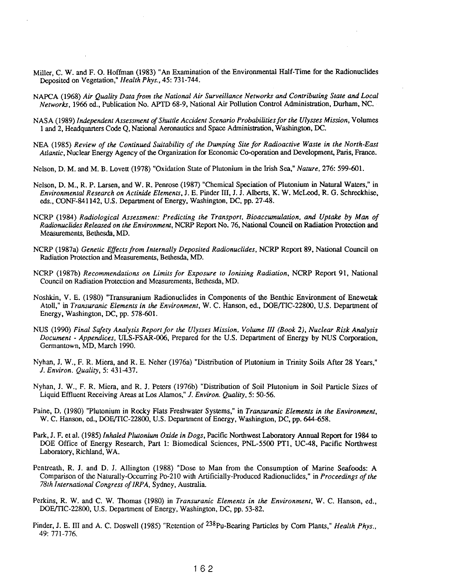- Miller, C. W. and F. O. Hoffman (1983) "An Examination of the Environmental Half-Time for the Radionuclides Deposited on Vegetation," *Health Phys.,* 45: 731-744.
- NAPCA (1968) *Air Quality Data from the National Air Surveillance Networks and Contributing State and Local Networks,* 1966 ed., Publication No. APTD 68-9, National Air Pollution Control Administration, Durham, NC.
- NASA (1989) *Independent Assessment of Shuttle Accident Scenario Probabilities for the Ulysses Mission,* Volumes 1 and 2, Headquarters Code Q, National Aeronautics and Space Administration, Washington, DC.
- NEA (1985) *Review of the Continued Suitability of the Dumping Site for Radioactive Waste* in *the North-East Atlantic,* Nuclear Energy Agency of the Organization for Economic Co-operation and Development, Patis, France.
- Nelson, D. M. and M. B. Lovett (1978) "Oxidation State of Plutonium in the Irish Sea," *Nature.* 276: 599-601.
- Nelson, D. M., R. P. Larsen, and W. R. Penrose (1987) "Chemical Speciation of Plutonium in Natural Waters," in *Environmental Research on Actinide Elements,* J. E. Pinder III, J. J. Alberts, K. W. McLeod, R. G. Schreckhise, eds., CONF-84 1 142, U.S. Department of Energy, Washington, DC, pp. 27-48.
- NCRP (1984) *Radiological Assessment: Predicting the Transport. Bioaccumulation, and Uptake by Man of Radionuclides Released on the Environment, NCRP Report No. 76, National Council on Radiation Protection and* Measurements, Bethesda, MD.
- NCRP (1987a) *Genetic Effects from Internally Deposited Radionuclides,* NCRP Report 89, National Council on Radiation Protection and Measurements, Bethesda, MD.
- NCRP (1987b) *Recommendations on Limits for Exposure to Ionizing Radiation,* NCRP Report 91, National Council on Radiation Protection and Measurements, Bethesda, MD.
- Noshkin, V. E. (1980) "Transuranium Radionuclides in Components of the Benthic Environment of Enewetak Atoll," in *Transuranic Elements in the Environment,* W. C. Hanson, ed., DOErrIC-22800, U.S. Department of Energy, Washington, DC, pp. 578-601.
- NUS (1990) *Final Safety Analysis Report for the Ulysses Mission, Volume III (Book* 2), *Nuclear Risk Analysis Document* - *Appendices,* ULS-FSAR-006, Prepared for the U.S. Department of Energy by NUS Corporation, Germantown, MD, March 1990.
- Nyhan, I, W., F. R. Miera, and R. E. Neher (1976a) "Distribution of Plutonium in Trinity Soils After 28 Years," J. *Environ. Quality,S: 431-437.*
- Nyhan, I. W., F. R. Miera, and R. J. Peters (1976b) "Distribution of Soil Plutonium in Soil Particle Sizes of Liquid Effluent Receiving Areas at Los Alamos," J. *Environ. Quality,* 5: 50-56.
- Paine, D. (1980) "Plutonium in Rocky Flats Freshwater Systems," in *Transuranic Elements in the Environment,*  W. C. Hanson, ed., DOEfflC-22800, U.S. Department of Energy, Washington, DC, pp. 644-658,
- Park, J. F. et al. (1985) *Inhaled Plutonium Oxide in Dogs*, Pacific Northwest Laboratory Annual Report for 1984 to DOE Office of Energy Research, Part I: Biomedical Sciences, PNL-5500 PTI, UC-48, Pacific Northwest Laboratory, Richland, WA.
- Pentreath, R. J. and D. 1. Allington (1988) "Dose to Man from the Consumption of Marine Seafoods: A Comparison of the Naturally-Occurring Po-210 with Artificially-Produced Radionuclides," in *Proceedings of the 78th International Congress of IRPA,* Sydney, Australia
- Perkins, R. W. and C. W. Thomas (1980) in *Transuranic Elements* in *the Environment,* W. C. Hanson, ed., DOE/TIC-22800, U.S. Department of Energy, Washington, DC, pp. 53-82.
- Pinder, J. E. III and A. C. Doswell (1985) "Retention of <sup>238</sup>Pu-Bearing Particles by Corn Plants," *Health Phys.*, 49: 771-776.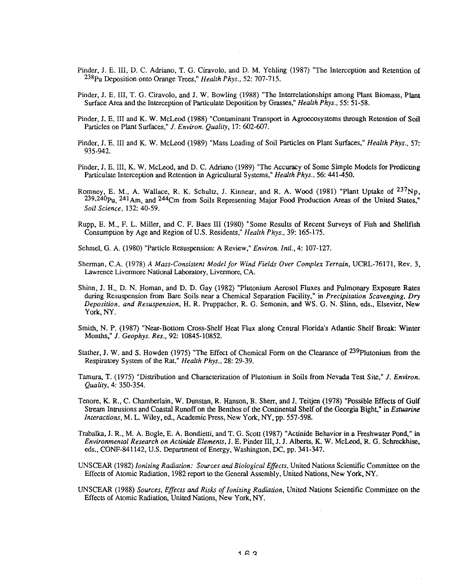- Pinder, J. E. Ill, D. C. Adriano, T. G. Ciravolo, and D. M. Yehling (1987) "The Interception and Retention of 238Pu Deposition onto Orange Trees," *Health Phys.,* 52: 707-715.
- Pinder, J. E. Ill, T. G. Ciravolo, and J. W. Bowling (1988) "The Interrelationships among Plant Biomass, Plant Surface Area and the Interception of Particulate Deposition by Grasses," *Health Phys.,* 55: 51-58.
- Pinder, J. E. 1II and K. W. McLeod (1988) "Contaminant Transport in Agroerosystems through Retention of Soil Particles on Plant Surfaces," J. *Environ. Quality,* 17: 602-607.
- Pinder, J. E. III and K. W. McLeod (1989) "Mass Loading of Soil Particles on Plant Surfaces," *Health Phys.,* 57: 935-942.
- Pinder, J. E. Ill, K. W. McLeod, and D. C. Adriano (1989) "The Accuracy of Some Simple Models for Predicting Particulate Interception and Retention in Agricultural Systems," *Health Phys.,* 56: 441-450.
- Romney, E. M., A. Wallace, R. K. Schultz, J. Kinnear, and R. A. Wood (1981) "Plant Uptake of  $237Np$ ,  $239,240$ Pu,  $241$ Am, and  $244$ Cm from Soils Representing Major Food Production Areas of the United States," *Soil Science,* 132: 40-59.
- Rupp, E. M., F. L. Miller, and C. F. Baes III (1980) "Some Results of Recent Surveys of Fish and Shellfish Consumption by Age and Region of U.S. Residents," *Health Phys.,* 39: 165-175.
- Sehmel, G. A. (1980) "Particle Resuspension: A Review," *Environ. Inti.,* 4: 107-127.
- Sherman, C.A. (1978) A Mass-Consistent Model for Wind Fields Over Complex Terrain, UCRL-76171, Rev. 3, Lawrence Livermore National Laboratory, Livennore, CA.
- Shinn, J. H., D. N. Homan, and D. D. Gay (1982) "Plutonium Aerosol Fluxes and Pulmonary Exposure Rates during Resuspension from Bare Soils near a Chemical Separation Facility," in *Precipitation Scavenging, Dry Deposition, and Resuspension,* H. R. Pruppacher, R. G. Semonin, and WS. G. N. Stinn, eds., Elsevier, New York, NY.
- Smith, N. P. (1987) "Near-Bottom Cross-Shelf Heat Flux along Central Florida's Atlantic Shelf Break: Winter Months," J. *Geophys. Res.,* 92: 10845-10852.
- Stather, J. W. and S. Howden (1975) "The Effect of Chemical Form on the Clearance of <sup>239</sup>Plutonium from the Respiratory System of the Rat," *Health Phys ..* 28: 29-39.
- Tamura, T. (1975) "Distribution and Characterization of Plutonium in Soils from Nevada Test Site," J. *Environ. Quality,* 4: 350-354.
- Tenore, K. R., C. Chamberlain, W. Dunstan, R. Hanson, B. Sherr, and J. Teitjen (1978) "Possible Effects of Gulf Stream Intrusions and Coastal Runoff on the Benthos of the Continental Shelf of the Georgia Bight," in *Estuarine Interactions, M. L. Wiley, ed., Academic Press, New York, NY, pp. 557-598.*
- Trabalka, J. R., M. A. Bogle, E. A. Bondietti, and T. G. Scott (1987) "Actinide Behavior in a Freshwater Pond," in *Environmental Research on Actinide Elements,* J. E. Pinder III, J. J. Alberts, K. W. McLeod, R. G. Schreckbise, eds., CONF-841142, U.S. Department of Energy, Washington, DC, pp. 341-347.
- UNSCEAR (1982) *Ionizing Radiation: Sowces and Biological Effects,* United Nations Scientific Committee on the Effects of Atomic Radiation, 1982 report to the General Assembly, United Nations, New York, NY.
- UNSCEAR (1988) *Sources, Effects and Risks of Ionizing Radiation,* United Nations Scientific Committee on the Effects of Atomic Radiation, United Nations, New York, NY.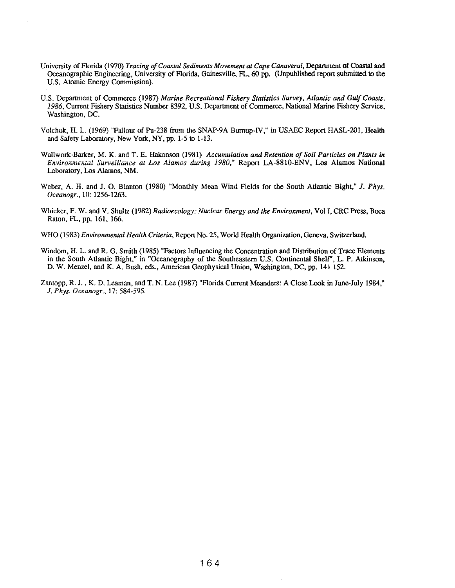- University of Florida (1970) *Tracing* of *Coastal Sediments Movement at Cape Canaveral,* Department of Coastal and Oceanographic Engineering, University of Florida, Gainesville, FL, 60 pp. (Unpublished report submitted to the U.S. Atomic Energy Commission).
- U.S. Depanment of Commerce (1987) *Marine Recreational Fishery Statistics Survey, Atlantic and Gulf Coasts,*  1986, Current Fishery Statistics Number 8392, U.S. Department of Commerce, National Marine Fishery Service, Washington, DC.
- Volchok, H. L. (1969) "Fallout of Pu-238 from the SNAP-9A Burnup-IV," in USAEC Repon HASL-201, Health and Safety Laboratory, New York, NY, pp. 1-5 to 1-13.
- Wallwork-Barker, M. K. and T. E. Hakonson (1981) *Accumulation and Retention of Soil Particles on Plants in Environmental Surveillance at Los Alamos during 1980,"* Report LA-8810-ENV, Los Alamos National Laboratory, Los Alamos, NM.
- Weber, A. H. and J. O. Blanton (1980) "Monthly Mean Wind Fields for the South Atlantic Bight," J. *Phys. Oceanogr.,* 10: 1256-1263.
- Whicker, F. W. and V. Shultz (1982) *Radioecology: Nuclear Energy and the Environment,* Vol I, CRC Press, Boca Raton, FL, pp. 161, 166.
- WHO (1983) *Environmental Health Criteria,* Repon No. 25, World Health Organization, Geneva, Switzerland.
- Windom, H. L. and R. G. Smith (1985) "Factors Influencing the Concentration and Distribution of Trace Elements in the South Atlantic Bight," in "Oceanography of the Southeastern U.S. Continental Shelf", L. P. Atkinson, D. W. Menzel, and K. A. Bush, eds., American Geophysical Union, Washington, DC, pp. 141 152.
- Zantopp, R. J. , K. D. Leaman, and T. N. Lee (1987) "Florida Current Meanders: A Close Look in June-July 1984," J. *Phys. Oceanogr.,* 17: 584-595.